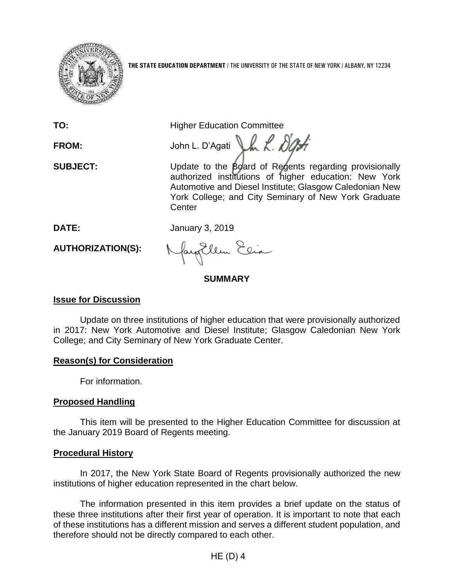

**THE STATE EDUCATION DEPARTMENT** / THE UNIVERSITY OF THE STATE OF NEW YORK / ALBANY, NY 12234

**TO:** Higher Education Committee

FROM: John L. D'Agati LA R. D'At

**SUBJECT:** Update to the Board of Regents regarding provisionally authorized institutions of higher education: New York Automotive and Diesel Institute; Glasgow Caledonian New York College; and City Seminary of New York Graduate **Center** 

**DATE:** January 3, 2019

**AUTHORIZATION(S):**

fayEllen Elia

# **SUMMARY**

# **Issue for Discussion**

Update on three institutions of higher education that were provisionally authorized in 2017: New York Automotive and Diesel Institute; Glasgow Caledonian New York College; and City Seminary of New York Graduate Center.

# **Reason(s) for Consideration**

For information.

# **Proposed Handling**

This item will be presented to the Higher Education Committee for discussion at the January 2019 Board of Regents meeting.

### **Procedural History**

In 2017, the New York State Board of Regents provisionally authorized the new institutions of higher education represented in the chart below.

The information presented in this item provides a brief update on the status of these three institutions after their first year of operation. It is important to note that each of these institutions has a different mission and serves a different student population, and therefore should not be directly compared to each other.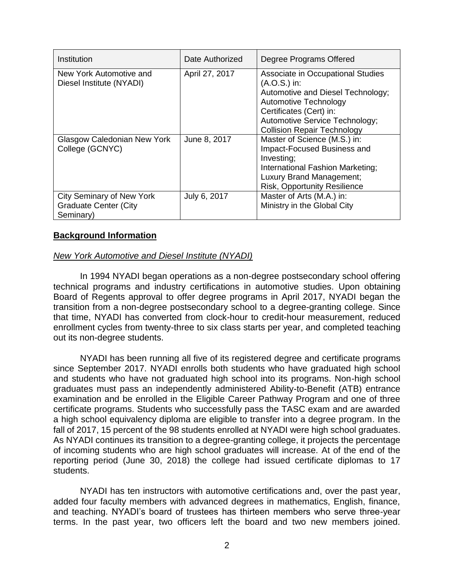| Institution                                                                   | Date Authorized | Degree Programs Offered                                                                                                                                                                                              |
|-------------------------------------------------------------------------------|-----------------|----------------------------------------------------------------------------------------------------------------------------------------------------------------------------------------------------------------------|
| New York Automotive and<br>Diesel Institute (NYADI)                           | April 27, 2017  | Associate in Occupational Studies<br>$(A.O.S.)$ in:<br>Automotive and Diesel Technology;<br>Automotive Technology<br>Certificates (Cert) in:<br>Automotive Service Technology;<br><b>Collision Repair Technology</b> |
| Glasgow Caledonian New York<br>College (GCNYC)                                | June 8, 2017    | Master of Science (M.S.) in:<br>Impact-Focused Business and<br>Investing;<br>International Fashion Marketing;<br>Luxury Brand Management;<br><b>Risk, Opportunity Resilience</b>                                     |
| <b>City Seminary of New York</b><br><b>Graduate Center (City</b><br>Seminary) | July 6, 2017    | Master of Arts (M.A.) in:<br>Ministry in the Global City                                                                                                                                                             |

### **Background Information**

### *New York Automotive and Diesel Institute (NYADI)*

In 1994 NYADI began operations as a non-degree postsecondary school offering technical programs and industry certifications in automotive studies. Upon obtaining Board of Regents approval to offer degree programs in April 2017, NYADI began the transition from a non-degree postsecondary school to a degree-granting college. Since that time, NYADI has converted from clock-hour to credit-hour measurement, reduced enrollment cycles from twenty-three to six class starts per year, and completed teaching out its non-degree students.

NYADI has been running all five of its registered degree and certificate programs since September 2017. NYADI enrolls both students who have graduated high school and students who have not graduated high school into its programs. Non-high school graduates must pass an independently administered Ability-to-Benefit (ATB) entrance examination and be enrolled in the Eligible Career Pathway Program and one of three certificate programs. Students who successfully pass the TASC exam and are awarded a high school equivalency diploma are eligible to transfer into a degree program. In the fall of 2017, 15 percent of the 98 students enrolled at NYADI were high school graduates. As NYADI continues its transition to a degree-granting college, it projects the percentage of incoming students who are high school graduates will increase. At of the end of the reporting period (June 30, 2018) the college had issued certificate diplomas to 17 students.

NYADI has ten instructors with automotive certifications and, over the past year, added four faculty members with advanced degrees in mathematics, English, finance, and teaching. NYADI's board of trustees has thirteen members who serve three-year terms. In the past year, two officers left the board and two new members joined.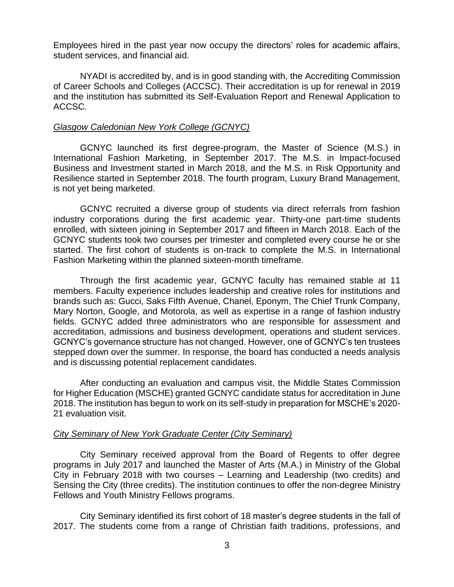Employees hired in the past year now occupy the directors' roles for academic affairs, student services, and financial aid.

NYADI is accredited by, and is in good standing with, the Accrediting Commission of Career Schools and Colleges (ACCSC). Their accreditation is up for renewal in 2019 and the institution has submitted its Self-Evaluation Report and Renewal Application to ACCSC.

#### *Glasgow Caledonian New York College (GCNYC)*

GCNYC launched its first degree-program, the Master of Science (M.S.) in International Fashion Marketing, in September 2017. The M.S. in Impact-focused Business and Investment started in March 2018, and the M.S. in Risk Opportunity and Resilience started in September 2018. The fourth program, Luxury Brand Management, is not yet being marketed.

GCNYC recruited a diverse group of students via direct referrals from fashion industry corporations during the first academic year. Thirty-one part-time students enrolled, with sixteen joining in September 2017 and fifteen in March 2018. Each of the GCNYC students took two courses per trimester and completed every course he or she started. The first cohort of students is on-track to complete the M.S. in International Fashion Marketing within the planned sixteen-month timeframe.

Through the first academic year, GCNYC faculty has remained stable at 11 members. Faculty experience includes leadership and creative roles for institutions and brands such as: Gucci, Saks Fifth Avenue, Chanel, Eponym, The Chief Trunk Company, Mary Norton, Google, and Motorola, as well as expertise in a range of fashion industry fields. GCNYC added three administrators who are responsible for assessment and accreditation, admissions and business development, operations and student services. GCNYC's governance structure has not changed. However, one of GCNYC's ten trustees stepped down over the summer. In response, the board has conducted a needs analysis and is discussing potential replacement candidates.

After conducting an evaluation and campus visit, the Middle States Commission for Higher Education (MSCHE) granted GCNYC candidate status for accreditation in June 2018. The institution has begun to work on its self-study in preparation for MSCHE's 2020- 21 evaluation visit.

### *City Seminary of New York Graduate Center (City Seminary)*

City Seminary received approval from the Board of Regents to offer degree programs in July 2017 and launched the Master of Arts (M.A.) in Ministry of the Global City in February 2018 with two courses – Learning and Leadership (two credits) and Sensing the City (three credits). The institution continues to offer the non-degree Ministry Fellows and Youth Ministry Fellows programs.

City Seminary identified its first cohort of 18 master's degree students in the fall of 2017. The students come from a range of Christian faith traditions, professions, and